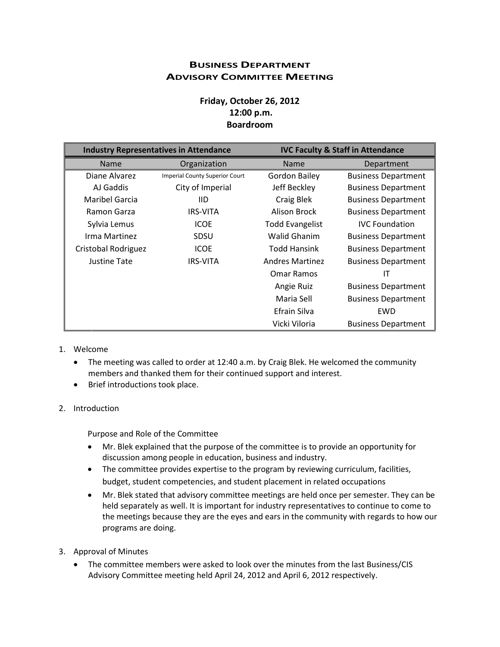## **BUSINESS DEPARTMENT ADVISORY COMMITTEE MEETING**

# **Friday, October 26, 2012 12:00 p.m. Boardroom**

| <b>Industry Representatives in Attendance</b> |                                       | <b>IVC Faculty &amp; Staff in Attendance</b> |                            |
|-----------------------------------------------|---------------------------------------|----------------------------------------------|----------------------------|
| <b>Name</b>                                   | Organization                          | <b>Name</b>                                  | Department                 |
| Diane Alvarez                                 | <b>Imperial County Superior Court</b> | <b>Gordon Bailey</b>                         | <b>Business Department</b> |
| AJ Gaddis                                     | City of Imperial                      | Jeff Beckley                                 | <b>Business Department</b> |
| <b>Maribel Garcia</b>                         | IID.                                  | Craig Blek                                   | <b>Business Department</b> |
| Ramon Garza                                   | <b>IRS-VITA</b>                       | Alison Brock                                 | <b>Business Department</b> |
| Sylvia Lemus                                  | <b>ICOE</b>                           | <b>Todd Evangelist</b>                       | <b>IVC</b> Foundation      |
| Irma Martinez                                 | <b>SDSU</b>                           | <b>Walid Ghanim</b>                          | <b>Business Department</b> |
| Cristobal Rodriguez                           | <b>ICOE</b>                           | <b>Todd Hansink</b>                          | <b>Business Department</b> |
| <b>Justine Tate</b>                           | <b>IRS-VITA</b>                       | <b>Andres Martinez</b>                       | <b>Business Department</b> |
|                                               |                                       | <b>Omar Ramos</b>                            | ΙT                         |
|                                               |                                       | Angie Ruiz                                   | <b>Business Department</b> |
|                                               |                                       | Maria Sell                                   | <b>Business Department</b> |
|                                               |                                       | Efrain Silva                                 | EWD                        |
|                                               |                                       | Vicki Viloria                                | <b>Business Department</b> |

#### 1. Welcome

- The meeting was called to order at 12:40 a.m. by Craig Blek. He welcomed the community members and thanked them for their continued support and interest.
- Brief introductions took place.

#### 2. Introduction

Purpose and Role of the Committee

- Mr. Blek explained that the purpose of the committee is to provide an opportunity for discussion among people in education, business and industry.
- The committee provides expertise to the program by reviewing curriculum, facilities, budget, student competencies, and student placement in related occupations
- Mr. Blek stated that advisory committee meetings are held once per semester. They can be held separately as well. It is important for industry representatives to continue to come to the meetings because they are the eyes and ears in the community with regards to how our programs are doing.
- 3. Approval of Minutes
	- The committee members were asked to look over the minutes from the last Business/CIS Advisory Committee meeting held April 24, 2012 and April 6, 2012 respectively.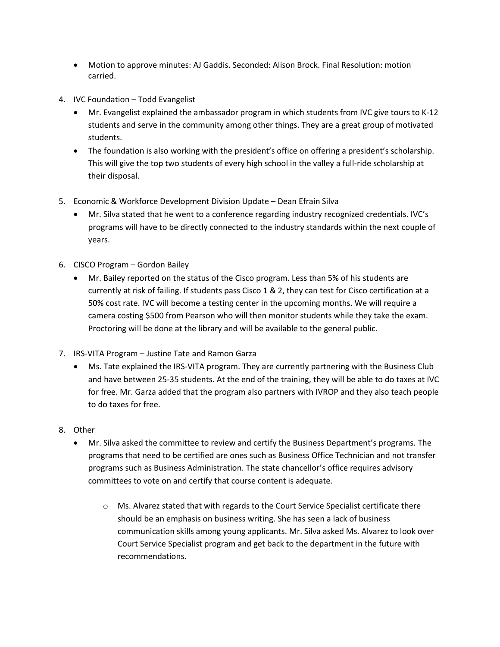- Motion to approve minutes: AJ Gaddis. Seconded: Alison Brock. Final Resolution: motion carried.
- 4. IVC Foundation Todd Evangelist
	- Mr. Evangelist explained the ambassador program in which students from IVC give tours to K-12 students and serve in the community among other things. They are a great group of motivated students.
	- The foundation is also working with the president's office on offering a president's scholarship. This will give the top two students of every high school in the valley a full-ride scholarship at their disposal.
- 5. Economic & Workforce Development Division Update Dean Efrain Silva
	- Mr. Silva stated that he went to a conference regarding industry recognized credentials. IVC's programs will have to be directly connected to the industry standards within the next couple of years.
- 6. CISCO Program Gordon Bailey
	- Mr. Bailey reported on the status of the Cisco program. Less than 5% of his students are currently at risk of failing. If students pass Cisco 1 & 2, they can test for Cisco certification at a 50% cost rate. IVC will become a testing center in the upcoming months. We will require a camera costing \$500 from Pearson who will then monitor students while they take the exam. Proctoring will be done at the library and will be available to the general public.
- 7. IRS-VITA Program Justine Tate and Ramon Garza
	- Ms. Tate explained the IRS-VITA program. They are currently partnering with the Business Club and have between 25-35 students. At the end of the training, they will be able to do taxes at IVC for free. Mr. Garza added that the program also partners with IVROP and they also teach people to do taxes for free.
- 8. Other
	- Mr. Silva asked the committee to review and certify the Business Department's programs. The programs that need to be certified are ones such as Business Office Technician and not transfer programs such as Business Administration. The state chancellor's office requires advisory committees to vote on and certify that course content is adequate.
		- o Ms. Alvarez stated that with regards to the Court Service Specialist certificate there should be an emphasis on business writing. She has seen a lack of business communication skills among young applicants. Mr. Silva asked Ms. Alvarez to look over Court Service Specialist program and get back to the department in the future with recommendations.